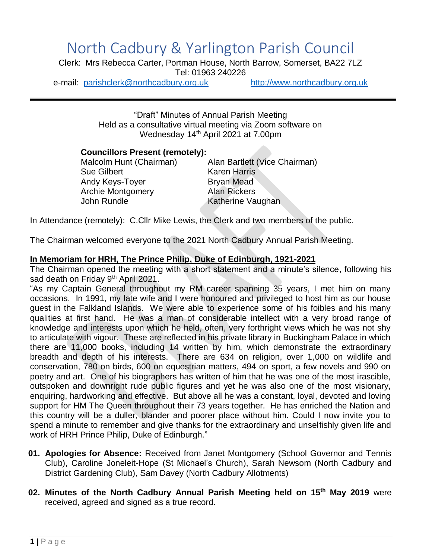# North Cadbury & Yarlington Parish Council

Clerk: Mrs Rebecca Carter, Portman House, North Barrow, Somerset, BA22 7LZ Tel: 01963 240226

e-mail: [parishclerk@northcadbury.org.uk](mailto:parishclerk@northcadbury.org.uk) [http://www.northcadbury.org.uk](http://www.northcadbury.org.uk/)

"Draft" Minutes of Annual Parish Meeting Held as a consultative virtual meeting via Zoom software on Wednesday 14th April 2021 at 7.00pm

### **Councillors Present (remotely):**

Sue Gilbert **Karen Harris** Andy Keys-Toyer **Bryan Mead** Archie Montgomery **Alan Rickers** John Rundle Katherine Vaughan

Malcolm Hunt (Chairman) Alan Bartlett (Vice Chairman)

In Attendance (remotely): C.Cllr Mike Lewis, the Clerk and two members of the public.

The Chairman welcomed everyone to the 2021 North Cadbury Annual Parish Meeting.

## **In Memoriam for HRH, The Prince Philip, Duke of Edinburgh, 1921-2021**

The Chairman opened the meeting with a short statement and a minute's silence, following his sad death on Friday 9<sup>th</sup> April 2021.

"As my Captain General throughout my RM career spanning 35 years, I met him on many occasions. In 1991, my late wife and I were honoured and privileged to host him as our house guest in the Falkland Islands. We were able to experience some of his foibles and his many qualities at first hand. He was a man of considerable intellect with a very broad range of knowledge and interests upon which he held, often, very forthright views which he was not shy to articulate with vigour. These are reflected in his private library in Buckingham Palace in which there are 11,000 books, including 14 written by him, which demonstrate the extraordinary breadth and depth of his interests. There are 634 on religion, over 1,000 on wildlife and conservation, 780 on birds, 600 on equestrian matters, 494 on sport, a few novels and 990 on poetry and art. One of his biographers has written of him that he was one of the most irascible, outspoken and downright rude public figures and yet he was also one of the most visionary, enquiring, hardworking and effective. But above all he was a constant, loyal, devoted and loving support for HM The Queen throughout their 73 years together. He has enriched the Nation and this country will be a duller, blander and poorer place without him. Could I now invite you to spend a minute to remember and give thanks for the extraordinary and unselfishly given life and work of HRH Prince Philip, Duke of Edinburgh."

- **01. Apologies for Absence:** Received from Janet Montgomery (School Governor and Tennis Club), Caroline Joneleit-Hope (St Michael's Church), Sarah Newsom (North Cadbury and District Gardening Club), Sam Davey (North Cadbury Allotments)
- **02. Minutes of the North Cadbury Annual Parish Meeting held on 15 th May 2019** were received, agreed and signed as a true record.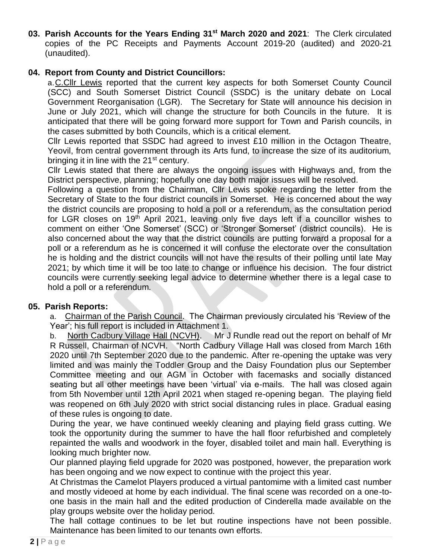**03. Parish Accounts for the Years Ending 31st March 2020 and 2021**: The Clerk circulated copies of the PC Receipts and Payments Account 2019-20 (audited) and 2020-21 (unaudited).

## **04. Report from County and District Councillors:**

a.C.Cllr Lewis reported that the current key aspects for both Somerset County Council (SCC) and South Somerset District Council (SSDC) is the unitary debate on Local Government Reorganisation (LGR). The Secretary for State will announce his decision in June or July 2021, which will change the structure for both Councils in the future. It is anticipated that there will be going forward more support for Town and Parish councils, in the cases submitted by both Councils, which is a critical element.

Cllr Lewis reported that SSDC had agreed to invest £10 million in the Octagon Theatre, Yeovil, from central government through its Arts fund, to increase the size of its auditorium, bringing it in line with the 21<sup>st</sup> century.

Cllr Lewis stated that there are always the ongoing issues with Highways and, from the District perspective, planning; hopefully one day both major issues will be resolved.

Following a question from the Chairman, Cllr Lewis spoke regarding the letter from the Secretary of State to the four district councils in Somerset. He is concerned about the way the district councils are proposing to hold a poll or a referendum, as the consultation period for LGR closes on 19<sup>th</sup> April 2021, leaving only five days left if a councillor wishes to comment on either 'One Somerset' (SCC) or 'Stronger Somerset' (district councils). He is also concerned about the way that the district councils are putting forward a proposal for a poll or a referendum as he is concerned it will confuse the electorate over the consultation he is holding and the district councils will not have the results of their polling until late May 2021; by which time it will be too late to change or influence his decision. The four district councils were currently seeking legal advice to determine whether there is a legal case to hold a poll or a referendum.

### **05. Parish Reports:**

a. Chairman of the Parish Council. The Chairman previously circulated his 'Review of the Year'; his full report is included in Attachment 1.

b. North Cadbury Village Hall (NCVH). Mr J Rundle read out the report on behalf of Mr R Russell, Chairman of NCVH. "North Cadbury Village Hall was closed from March 16th 2020 until 7th September 2020 due to the pandemic. After re-opening the uptake was very limited and was mainly the Toddler Group and the Daisy Foundation plus our September Committee meeting and our AGM in October with facemasks and socially distanced seating but all other meetings have been 'virtual' via e-mails. The hall was closed again from 5th November until 12th April 2021 when staged re-opening began. The playing field was reopened on 6th July 2020 with strict social distancing rules in place. Gradual easing of these rules is ongoing to date.

During the year, we have continued weekly cleaning and playing field grass cutting. We took the opportunity during the summer to have the hall floor refurbished and completely repainted the walls and woodwork in the foyer, disabled toilet and main hall. Everything is looking much brighter now.

Our planned playing field upgrade for 2020 was postponed, however, the preparation work has been ongoing and we now expect to continue with the project this year.

At Christmas the Camelot Players produced a virtual pantomime with a limited cast number and mostly videoed at home by each individual. The final scene was recorded on a one-toone basis in the main hall and the edited production of Cinderella made available on the play groups website over the holiday period.

The hall cottage continues to be let but routine inspections have not been possible. Maintenance has been limited to our tenants own efforts.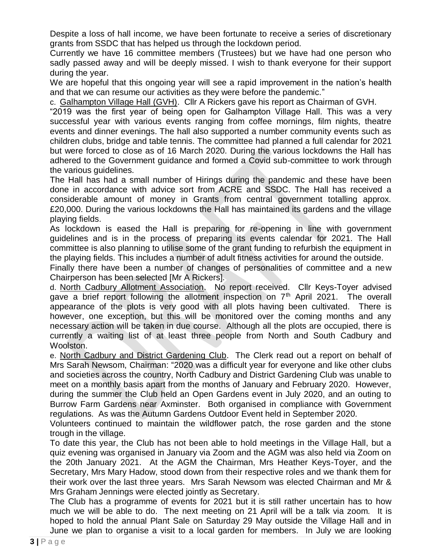Despite a loss of hall income, we have been fortunate to receive a series of discretionary grants from SSDC that has helped us through the lockdown period.

Currently we have 16 committee members (Trustees) but we have had one person who sadly passed away and will be deeply missed. I wish to thank everyone for their support during the year.

We are hopeful that this ongoing year will see a rapid improvement in the nation's health and that we can resume our activities as they were before the pandemic."

c. Galhampton Village Hall (GVH). Cllr A Rickers gave his report as Chairman of GVH.

"2019 was the first year of being open for Galhampton Village Hall. This was a very successful year with various events ranging from coffee mornings, film nights, theatre events and dinner evenings. The hall also supported a number community events such as children clubs, bridge and table tennis. The committee had planned a full calendar for 2021 but were forced to close as of 16 March 2020. During the various lockdowns the Hall has adhered to the Government guidance and formed a Covid sub-committee to work through the various guidelines.

The Hall has had a small number of Hirings during the pandemic and these have been done in accordance with advice sort from ACRE and SSDC. The Hall has received a considerable amount of money in Grants from central government totalling approx. £20,000. During the various lockdowns the Hall has maintained its gardens and the village playing fields.

As lockdown is eased the Hall is preparing for re-opening in line with government guidelines and is in the process of preparing its events calendar for 2021. The Hall committee is also planning to utilise some of the grant funding to refurbish the equipment in the playing fields. This includes a number of adult fitness activities for around the outside.

Finally there have been a number of changes of personalities of committee and a new Chairperson has been selected [Mr A Rickers].

d. North Cadbury Allotment Association. No report received. Cllr Keys-Toyer advised gave a brief report following the allotment inspection on  $7<sup>th</sup>$  April 2021. The overall appearance of the plots is very good with all plots having been cultivated. There is however, one exception, but this will be monitored over the coming months and any necessary action will be taken in due course. Although all the plots are occupied, there is currently a waiting list of at least three people from North and South Cadbury and Woolston.

e. North Cadbury and District Gardening Club. The Clerk read out a report on behalf of Mrs Sarah Newsom, Chairman: "2020 was a difficult year for everyone and like other clubs and societies across the country, North Cadbury and District Gardening Club was unable to meet on a monthly basis apart from the months of January and February 2020. However, during the summer the Club held an Open Gardens event in July 2020, and an outing to Burrow Farm Gardens near Axminster. Both organised in compliance with Government regulations. As was the Autumn Gardens Outdoor Event held in September 2020.

Volunteers continued to maintain the wildflower patch, the rose garden and the stone trough in the village.

To date this year, the Club has not been able to hold meetings in the Village Hall, but a quiz evening was organised in January via Zoom and the AGM was also held via Zoom on the 20th January 2021. At the AGM the Chairman, Mrs Heather Keys-Toyer, and the Secretary, Mrs Mary Hadow, stood down from their respective roles and we thank them for their work over the last three years. Mrs Sarah Newsom was elected Chairman and Mr & Mrs Graham Jennings were elected jointly as Secretary.

The Club has a programme of events for 2021 but it is still rather uncertain has to how much we will be able to do. The next meeting on 21 April will be a talk via zoom. It is hoped to hold the annual Plant Sale on Saturday 29 May outside the Village Hall and in June we plan to organise a visit to a local garden for members. In July we are looking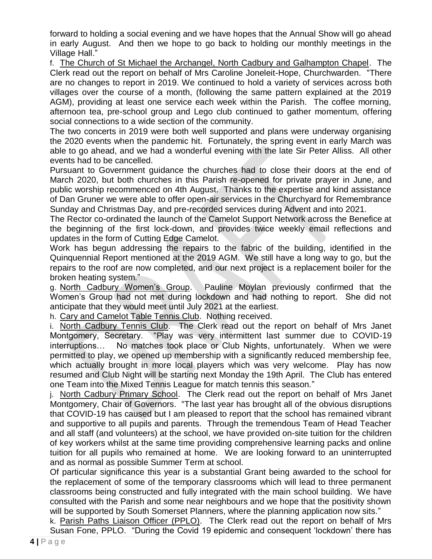forward to holding a social evening and we have hopes that the Annual Show will go ahead in early August. And then we hope to go back to holding our monthly meetings in the Village Hall."

f. The Church of St Michael the Archangel, North Cadbury and Galhampton Chapel. The Clerk read out the report on behalf of Mrs Caroline Joneleit-Hope, Churchwarden. "There are no changes to report in 2019. We continued to hold a variety of services across both villages over the course of a month, (following the same pattern explained at the 2019 AGM), providing at least one service each week within the Parish. The coffee morning, afternoon tea, pre-school group and Lego club continued to gather momentum, offering social connections to a wide section of the community.

The two concerts in 2019 were both well supported and plans were underway organising the 2020 events when the pandemic hit. Fortunately, the spring event in early March was able to go ahead, and we had a wonderful evening with the late Sir Peter Alliss. All other events had to be cancelled.

Pursuant to Government guidance the churches had to close their doors at the end of March 2020, but both churches in this Parish re-opened for private prayer in June, and public worship recommenced on 4th August. Thanks to the expertise and kind assistance of Dan Gruner we were able to offer open-air services in the Churchyard for Remembrance Sunday and Christmas Day, and pre-recorded services during Advent and into 2021.

The Rector co-ordinated the launch of the Camelot Support Network across the Benefice at the beginning of the first lock-down, and provides twice weekly email reflections and updates in the form of Cutting Edge Camelot.

Work has begun addressing the repairs to the fabric of the building, identified in the Quinquennial Report mentioned at the 2019 AGM. We still have a long way to go, but the repairs to the roof are now completed, and our next project is a replacement boiler for the broken heating system."

g. North Cadbury Women's Group. Pauline Moylan previously confirmed that the Women's Group had not met during lockdown and had nothing to report. She did not anticipate that they would meet until July 2021 at the earliest.

h. Cary and Camelot Table Tennis Club. Nothing received.

i. North Cadbury Tennis Club. The Clerk read out the report on behalf of Mrs Janet Montgomery, Secretary. "Play was very intermittent last summer due to COVID-19 interruptions… No matches took place or Club Nights, unfortunately. When we were permitted to play, we opened up membership with a significantly reduced membership fee, which actually brought in more local players which was very welcome. Play has now resumed and Club Night will be starting next Monday the 19th April. The Club has entered one Team into the Mixed Tennis League for match tennis this season."

j. North Cadbury Primary School. The Clerk read out the report on behalf of Mrs Janet Montgomery, Chair of Governors. "The last year has brought all of the obvious disruptions that COVID-19 has caused but I am pleased to report that the school has remained vibrant and supportive to all pupils and parents. Through the tremendous Team of Head Teacher and all staff (and volunteers) at the school, we have provided on-site tuition for the children of key workers whilst at the same time providing comprehensive learning packs and online tuition for all pupils who remained at home. We are looking forward to an uninterrupted and as normal as possible Summer Term at school.

Of particular significance this year is a substantial Grant being awarded to the school for the replacement of some of the temporary classrooms which will lead to three permanent classrooms being constructed and fully integrated with the main school building. We have consulted with the Parish and some near neighbours and we hope that the positivity shown will be supported by South Somerset Planners, where the planning application now sits."

k. Parish Paths Liaison Officer (PPLO). The Clerk read out the report on behalf of Mrs Susan Fone, PPLO. "During the Covid 19 epidemic and consequent 'lockdown' there has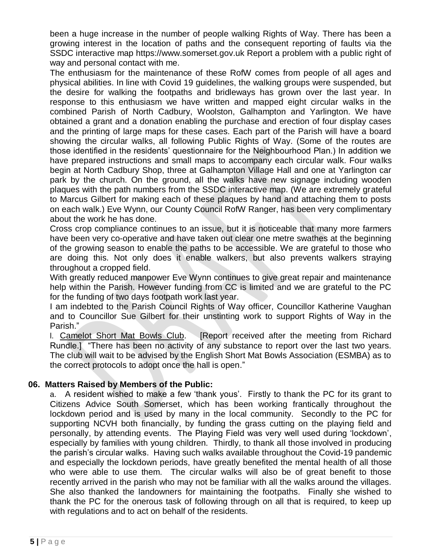been a huge increase in the number of people walking Rights of Way. There has been a growing interest in the location of paths and the consequent reporting of faults via the SSDC interactive map https://www.somerset.gov.uk Report a problem with a public right of way and personal contact with me.

The enthusiasm for the maintenance of these RofW comes from people of all ages and physical abilities. In line with Covid 19 guidelines, the walking groups were suspended, but the desire for walking the footpaths and bridleways has grown over the last year. In response to this enthusiasm we have written and mapped eight circular walks in the combined Parish of North Cadbury, Woolston, Galhampton and Yarlington. We have obtained a grant and a donation enabling the purchase and erection of four display cases and the printing of large maps for these cases. Each part of the Parish will have a board showing the circular walks, all following Public Rights of Way. (Some of the routes are those identified in the residents' questionnaire for the Neighbourhood Plan.) In addition we have prepared instructions and small maps to accompany each circular walk. Four walks begin at North Cadbury Shop, three at Galhampton Village Hall and one at Yarlington car park by the church. On the ground, all the walks have new signage including wooden plaques with the path numbers from the SSDC interactive map. (We are extremely grateful to Marcus Gilbert for making each of these plaques by hand and attaching them to posts on each walk.) Eve Wynn, our County Council RofW Ranger, has been very complimentary about the work he has done.

Cross crop compliance continues to an issue, but it is noticeable that many more farmers have been very co-operative and have taken out clear one metre swathes at the beginning of the growing season to enable the paths to be accessible. We are grateful to those who are doing this. Not only does it enable walkers, but also prevents walkers straying throughout a cropped field.

With greatly reduced manpower Eve Wynn continues to give great repair and maintenance help within the Parish. However funding from CC is limited and we are grateful to the PC for the funding of two days footpath work last year.

I am indebted to the Parish Council Rights of Way officer, Councillor Katherine Vaughan and to Councillor Sue Gilbert for their unstinting work to support Rights of Way in the Parish."

l. Camelot Short Mat Bowls Club. [Report received after the meeting from Richard Rundle.] "There has been no activity of any substance to report over the last two years. The club will wait to be advised by the English Short Mat Bowls Association (ESMBA) as to the correct protocols to adopt once the hall is open."

### **06. Matters Raised by Members of the Public:**

a. A resident wished to make a few 'thank yous'. Firstly to thank the PC for its grant to Citizens Advice South Somerset, which has been working frantically throughout the lockdown period and is used by many in the local community. Secondly to the PC for supporting NCVH both financially, by funding the grass cutting on the playing field and personally, by attending events. The Playing Field was very well used during 'lockdown', especially by families with young children. Thirdly, to thank all those involved in producing the parish's circular walks. Having such walks available throughout the Covid-19 pandemic and especially the lockdown periods, have greatly benefited the mental health of all those who were able to use them. The circular walks will also be of great benefit to those recently arrived in the parish who may not be familiar with all the walks around the villages. She also thanked the landowners for maintaining the footpaths. Finally she wished to thank the PC for the onerous task of following through on all that is required, to keep up with regulations and to act on behalf of the residents.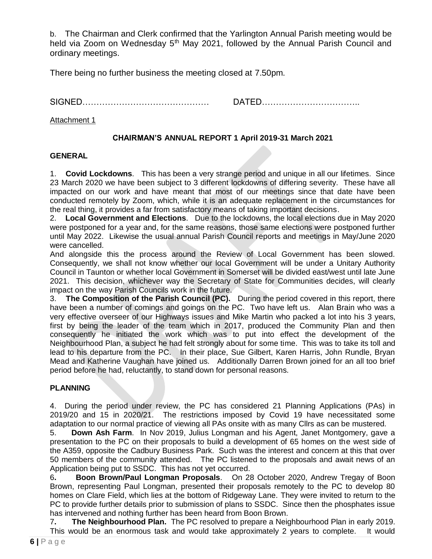b. The Chairman and Clerk confirmed that the Yarlington Annual Parish meeting would be held via Zoom on Wednesday 5<sup>th</sup> May 2021, followed by the Annual Parish Council and ordinary meetings.

There being no further business the meeting closed at 7.50pm.

SIGNED……………………………………… DATED……………………………..

#### Attachment 1

## **CHAIRMAN'S ANNUAL REPORT 1 April 2019-31 March 2021**

#### **GENERAL**

1. **Covid Lockdowns**. This has been a very strange period and unique in all our lifetimes. Since 23 March 2020 we have been subject to 3 different lockdowns of differing severity. These have all impacted on our work and have meant that most of our meetings since that date have been conducted remotely by Zoom, which, while it is an adequate replacement in the circumstances for the real thing, it provides a far from satisfactory means of taking important decisions.

2. **Local Government and Elections**. Due to the lockdowns, the local elections due in May 2020 were postponed for a year and, for the same reasons, those same elections were postponed further until May 2022. Likewise the usual annual Parish Council reports and meetings in May/June 2020 were cancelled.

And alongside this the process around the Review of Local Government has been slowed. Consequently, we shall not know whether our local Government will be under a Unitary Authority Council in Taunton or whether local Government in Somerset will be divided east/west until late June 2021. This decision, whichever way the Secretary of State for Communities decides, will clearly impact on the way Parish Councils work in the future.

3. **The Composition of the Parish Council (PC).** During the period covered in this report, there have been a number of comings and goings on the PC. Two have left us. Alan Brain who was a very effective overseer of our Highways issues and Mike Martin who packed a lot into his 3 years, first by being the leader of the team which in 2017, produced the Community Plan and then consequently he initiated the work which was to put into effect the development of the Neighbourhood Plan, a subject he had felt strongly about for some time. This was to take its toll and lead to his departure from the PC. In their place, Sue Gilbert, Karen Harris, John Rundle, Bryan Mead and Katherine Vaughan have joined us. Additionally Darren Brown joined for an all too brief period before he had, reluctantly, to stand down for personal reasons.

### **PLANNING**

4. During the period under review, the PC has considered 21 Planning Applications (PAs) in 2019/20 and 15 in 2020/21. The restrictions imposed by Covid 19 have necessitated some adaptation to our normal practice of viewing all PAs onsite with as many Cllrs as can be mustered.

5. **Down Ash Farm**. In Nov 2019, Julius Longman and his Agent, Janet Montgomery, gave a presentation to the PC on their proposals to build a development of 65 homes on the west side of the A359, opposite the Cadbury Business Park. Such was the interest and concern at this that over 50 members of the community attended. The PC listened to the proposals and await news of an Application being put to SSDC. This has not yet occurred.

6**. Boon Brown/Paul Longman Proposals**. On 28 October 2020, Andrew Tregay of Boon Brown, representing Paul Longman, presented their proposals remotely to the PC to develop 80 homes on Clare Field, which lies at the bottom of Ridgeway Lane. They were invited to return to the PC to provide further details prior to submission of plans to SSDC. Since then the phosphates issue has intervened and nothing further has been heard from Boon Brown.

7**. The Neighbourhood Plan.** The PC resolved to prepare a Neighbourhood Plan in early 2019. This would be an enormous task and would take approximately 2 years to complete. It would